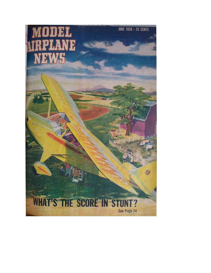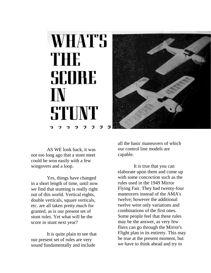



AS WE look back, it was not too long ago that a stunt meet could be won easily with a few wingovers and a loop.

Yes, things have changed in a short length of time, until now we find that stunting is really right out of this world. Vertical eights, double verticals, square verticals, etc. are all taken pretty much for granted, as is our present set of stunt rules. Yet what will be the score in stunt next year?

It is quite plain to see that our present set of rules are very sound fundamentally and include

all the basic maneuvers of which our control line models are capable.

It is true that you can elaborate upon them and come up with some concoction such as the rules used in the 1949 Mirror Flying Fair. They had twenty-four maneuvers instead of the AMA's twelve; however the additional twelve were only variations and combinations of the first ones. Some people feel that these rules may be the answer, as very few fliers can go through the Mirror's Flight plan in its entirety. This may be true at the present moment, but we have to think ahead and try to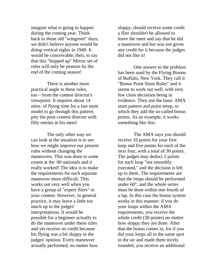imagine what is going to happen during the coming year. Think back to those old "wingover" days; we didn't believe anyone would be doing vertical eights in 1949. It would be conceivable, then, to say that this "hopped up" Mirror set of rules will only be peanuts by the end of the coming season!

There is another more practical angle to these rules, too—from the contest director's viewpoint. It requires about 14 mins. of flying time for a fast stunt model to go through this pattern; pity the poor contest director with fifty entries in his meet!

The only other way we can look at the situation is to see how we might improve our present rules without changing the maneuvers. This was done to some extent at the '49 nationals and it really worked! The idea is to make the requirements for each separate maneuver more difficult. This works out very well when you have a group of "expert fliers" in your contest. However, in general practice, it may leave a little too much up to the judges' interpretations. It would be possible for a beginner actually to do the maneuver under these rules and yet receive no credit because his flying was a bit sloppy in the judges' opinion. Every maneuver actually performed, no matter how

sloppy, should receive some credit a flier shouldn't be allowed to leave the meet and say that he did a maneuver and but was not given any credit for it because the judges did not like it!

One answer to the problem has been used by the Flying Bisons of Buffalo, New York. They call it "Bonus Point Stunt Rules" and it seems to work out well, with very few close decisions being in evidence. They use the basic AMA stunt pattern and point setup, to which they add the so-called bonus points. As an example, it works something like this:

The AMA says you should receive 10 points for your first loop and five points for each of the next four, with a total of 30 points. The judges may deduct 2 points for each loop "not smoothly executed," and the decision is left up to them. The requirements are that the loops should be performed under 60°, and the whole series must be done within one-fourth of a lap. In this case the bonus system works in this manner: if you do your loops within the AMA requirements, you receive the whole credit (30 points) no matter how sloppy they are done. After that the bonus comes in, for if you did your loops all in the same spot in the air and made them nicely rounded, you receive an additional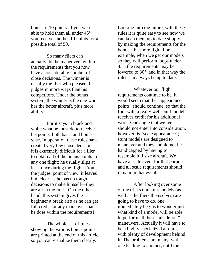bonus of 10 points. If you were able to hold them all under 45° you receive another 10 points for a possible total of 50.

So many fliers can actually do the maneuvers within the requirements that you now have a considerable number of close decisions. The winner is usually the flier who pleased the judges in more ways than his competitors. Under the bonus system, the winner is the one who has the better aircraft, plus more ability.

For it says in black and white what he must do to receive his points, both basic and bonuswise. In operation these rules have created very few close decisions as it is extremely difficult for a flier to obtain all of the bonus points in any one flight; he usually slips at least once during the flight. From the judges' point of view, it leaves him clear, as he has no tough decisions to make himself—they are all in the rules. On the other hand, this system gives the beginner a break also as he can get full credit for any maneuver that he does within the requirements!

The whole set of rules showing the various bonus points are printed at the end of this article so you can visualize them clearly.

Looking into the future, with these rules it is quite easy to see how we can keep them up to date simply by making the requirements for the bonus a bit more rigid. For example, when we get our models so they will perform loops under 45°, the requirements may be lowered to 30°, and in that way the rules can always be up to date.

Whatever our flight requirements continue to be, it would seem that the "appearance points" should continue, so that the flier with a really well-built model receives credit for his additional work. One angle that we feel should not enter into consideration, however, is "scale appearance"; stunt models are designed to maneuver and they should not be handicapped by having to resemble full size aircraft. We have a scale event for that purpose, and all scale requirements should remain in that event!

After looking over some of the tricks our stunt models (as well as the fliers themselves) are going to have to do, one immediately begins to wonder just what kind of a model will be able to perform all these "inside-out" maneuvers. Actually it will have to be a highly specialized aircraft, with plenty of development behind it. The problems are many, with one leading to another, until the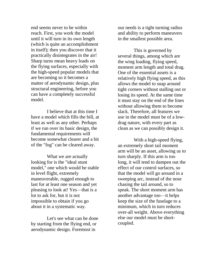end seems never to be within reach. First, you work the model until it will turn in its own length (which is quite an accomplishment in itself); then you discover that it practically disintegrates in the air! Sharp turns mean heavy loads on the flying surfaces, especially with the high-speed popular models that are becoming so it becomes a matter of aerodynamic design, plus structural engineering, before you can have a completely successful model.

I believe that at this time I have a model which fills the bill, at least as well as any other. Perhaps if we run over its basic design, the fundamental requirements will become somewhat clearer and a bit of the "fog" can be cleared away.

What we are actually looking for is the "ideal stunt model," one which would be stable in level flight, extremely maneuverable, rugged enough to last for at least one season and yet pleasing to look at! Yes—that is a lot to ask for, but it is not impossible to obtain if you go about it in a systematic way.

Let's see what can be done by starting from the flying end, or aerodynamic design. Foremost in

our needs is a tight turning radius and ability to perform maneuvers in the smallest possible area.

This is governed by several things, among which are the wing loading, flying speed, moment arm length and total drag. One of the essential assets is a relatively high flying speed, as this allows the model to snap around tight corners without stalling out or losing its speed. At the same time it must stay on the end of the lines without allowing them to become slack. Therefore, all features we use in the model must be of a lowdrag nature, with every part as clean as we can possibly design it.

With a high-speed flying, an extremely short tail moment arm will be an asset, allowing us to turn sharply. If this arm is too long, it will tend to dampen out the effect of our control surfaces, so that the model will go around in a sweeping arc, instead of the nose chasing the tail around, so to speak. The short moment arm has another advantage too—it helps keep the size of the fuselage to a minimum, which in turn reduces over-all weight. Above everything else our model must be shortcoupled.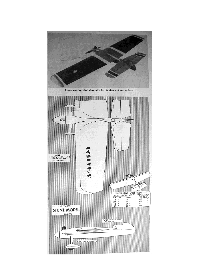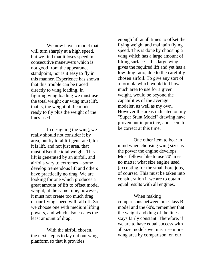We now have a model that will turn sharply at a high speed, but we find that it loses speed in consecutive maneuvers which is not good from the appearance standpoint, nor is it easy to fly in this manner. Experience has shown that this trouble can be traced directly to wing loading. In figuring wing loading we must use the total weight our wing must lift, that is, the weight of the model ready to fly plus the weight of the lines used.

In designing the wing, we really should not consider it by area, but by total lift generated, for it is lift, and not just area, that must offset the total weight. This lift is generated by an airfoil, and airfoils vary to extremes—some develop tremendous lift and others have practically no drag. We are looking for one which produces a great amount of lift to offset model weight; at the same time, however, it must not create too much drag. or our flying speed will fall off. So we choose one with medium lifting powers, and which also creates the least amount of drag.

With the airfoil chosen, the next step is to lay out our wing planform so that it provides

enough lift at all times to offset the flying weight and maintain flying speed. This is done by choosing a wing which has a large amount of lifting surface—this large wing gives the required lift and yet has a low-drag ratio, due to the carefully chosen airfoil. To give any sort of a formula which would tell how much area to use for a given weight, would be beyond the capabilities of the average modeler, as well as my own. However the areas indicated on my "Super Stunt Model" drawing have proven out in practice, and seem to be correct at this time.

One other item to bear in mind when choosing wing sizes is the power the engine develops. Most fellows like to use 70' lines no matter what size engine used (excepting for the small bore jobs, of course). This must be taken into consideration if we are to obtain equal results with all engines.

When making comparisons between our Class B model and the 60's, remember that the weight and drag of the lines stays fairly constant. Therefore, if we are to have equal success with all size models we must use more wing area by comparison, on our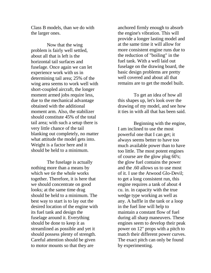Class B models, than we do with the larger ones.

Now that the wing problem is fairly well settled, about all that is left is the horizontal tail surfaces and fuselage. Once again we can let experience work with us in determining tail area; 25% of the wing area seems to work well with short-coupled aircraft, the longer moment armed jobs require less, due to the mechanical advantage obtained with the additional moment arm. Also, the stabilizer should constitute 45% of the total tail area; with such a setup there is very little chance of the tail blanking out completely, no matter what attitude the model gets into. Weight is a factor here and it should be held to a minimum.

The fuselage is actually nothing more than a means by which we tie the whole works together. Therefore, it is here that we should concentrate on good looks; at the same time drag should be held to a minimum. The best way to start is to lay out the desired location of the engine with its fuel tank and design the fuselage around it. Everything should be done to keep it as streamlined as possible and yet it should possess plenty of strength. Careful attention should be given to motor mounts so that they are

anchored firmly enough to absorb the engine's vibration. This will provide a longer lasting model and at the same time it will allow for more consistent engine runs due to the reduction of "boiling" in the fuel tank. With a well laid out fuselage on the drawing board, the basic design problems are pretty well covered and about all that remains are to get the model built.

To get an idea of how all this shapes up, let's look over the drawing of my model, and see how it ties in with all that has been said.

Beginning with the engine, I am inclined to use the most powerful one that I can get; it always seems better to have too much available power than to have too little. The most potent engines of course are the glow plug 60's; the glow fuel contains the power and the .60 allows us to use most of it. I use the Atwood Glo-Devil; to get a long consistent run, this engine requires a tank of about 4 cu. in. in capacity with the true wedge type working as well as any. A baffle in the tank or a loop in the fuel line will help to maintain a constant flow of fuel during all sharp maneuvers. These engines seem to develop their peak power on 12" props with a pitch to match their different power curves. The exact pitch can only be found by experimenting.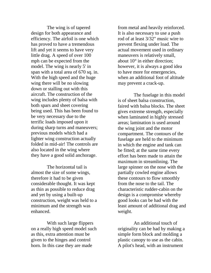The wing is of tapered design for both appearance and efficiency. The airfoil is one which has proved to have a tremendous lift and yet it seems to have very little drag. A speed of over 100 mph can be expected from the model. The wing is nearly 5' in span with a total area of 670 sq. in. With the high speed and the huge wing there will be no slowing down or stalling out with this aircraft. The construction of the wing includes plenty of balsa with both spars and sheet covering being used. This has been found to be very necessary due to the terrific loads imposed upon it during sharp turns and maneuvers; previous models which had a lighter wing construction actually folded in mid-air! The controls are also located in the wing where they have a good solid anchorage.

The horizontal tail is almost the size of some wings, therefore it had to be given considerable thought. It was kept as thin as possible to reduce drag and yet by using a built-up construction, weight was held to a minimum and the strength was enhanced.

With such large flippers on a really high speed model such as this, extra attention must be given to the hinges and control horn. In this case they are made

from metal and heavily reinforced. It is also necessary to use a push rod of at least 3/32" music wire to prevent flexing under load. The actual movement used in ordinary maneuvers is relatively small, about 10° in either direction; however, it is always a good idea to have more for emergencies, when an additional foot of altitude may prevent a crack-up.

The fuselage in this model is of sheet balsa construction, faired with balsa blocks. The sheet gives extreme strength, especially when laminated in highly stressed areas; lamination is used around the wing joint and the motor compartment. The contours of the fuselage are held to the minimum in which the engine and tank can be fitted; at the same time every effort has been made to attain the maximum in streamlining. The large spinner on the nose with the partially cowled engine allows these contours to flow smoothly from the nose to the tail. The characteristic rudder-cabin on the design is a compromise whereby good looks can be had with the least amount of additional drag and weight.

An additional touch of originality can be had by making a simple form block and molding a plastic canopy to use as the cabin. A pilot's head, with an instrument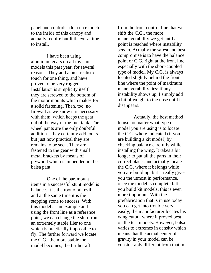panel and controls add a nice touch to the inside of this canopy and actually require but little extra time to install.

I have been using aluminum gears on all my stunt models this past year, for several reasons. They add a nice realistic touch for one thing, and have proved to be very rugged. Installation is simplicity itself; they are screwed to the bottom of the motor mounts which makes for a solid fastening, Then, too, no firewall as we know it is necessary with them, which keeps the gear out of the way of the fuel tank. The wheel pants are the only doubtful addition—they certainly add looks but just how practical they are remains to be seen. They are fastened to the gear with small metal brackets by means of plywood which is imbedded in the balsa pant.

One of the paramount items in a successful stunt model is balance. It is the root of all evil and at the same time it is the stepping stone to success. With this model as an example and using the front line as a reference point, we can change the ship from an extremely stable flier to one which is practically impossible to fly. The farther forward we locate the C.G., the more stable the model becomes; the further aft

from the front control line that we shift the C.G., the more maneuverability we get until a point is reached where instability sets in. Actually the safest and best compromise is to have the balance point or C.G. right at the front line, especially with the short-coupled type of model. My C.G. is always located slightly behind the front line where the point of maximum maneuverability lies: if any instability shows up, I simply add a bit of weight to the nose until it disappears.

Actually, the best method to use no matter what type of model you are using is to locate the C.G. where indicated (if you are building a kit model) by checking balance carefully while installing the wing. It takes a bit longer to put all the parts in their correct places and actually locate the C.G. where it belongs while you are building, but it really gives you the utmost in performance, once the model is completed. If you build kit models, this is even more important. With the prefabrication that is in use today you can get into trouble very easily; the manufacturer locates his wing cutout where it proved best on the test models. However, balsa varies to extremes in density which means that the actual center of gravity in your model can be considerably different from that in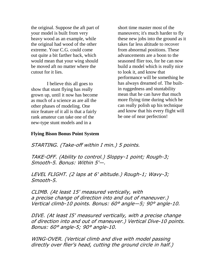the original. Suppose the aft part of your model is built from very heavy wood as an example, while the original had wood of the other extreme. Your C.G. could come out quite a bit farther back, which would mean that your wing should be moved aft no matter where the cutout for it lies.

I believe this all goes to show that stunt flying has really grown up, until it now has become as much of a science as are all the other phases of modeling. One nice feature of it all is that a fairly rank amateur can take one of the new-type stunt models and in a

short time master most of the maneuvers; it's much harder to fly these new jobs into the ground as it takes far less altitude to recover from abnormal positions. These advancements are a boon to the seasoned flier too, for he can now build a model which is really nice to look it, and know that performance will be something he has always dreamed of. The builtin ruggedness and stuntability mean that he can have that much more flying time during which he can really polish up his technique and know that his every flight will be one of near perfection!

## **Flying Bison Bonus Point System**

STARTING. (Take-off within I min.) 5 points.

TAKE-OFF. (Ability to control.) Sloppy-1 point; Rough-3; Smooth-5. Bonus: Within 5'—.

LEVEL FLIGHT. (2 laps at 6' altitude.) Rough-1; Wavy-3; Smooth-5.

CLIMB. (At least 15' measured vertically, with a precise change of direction into and out of maneuver.) Vertical climb-10 points. Bonus: 60° angle—5; 90° angle-10.

DIVE. (At least I5' measured vertically, with a precise change of direction into and out of maneuver.) Vertical Dive-10 points. Bonus: 60° angle-5; 90° angle-10.

WING-OVER. (Vertical climb and dive with model passing directly over flier's head, cutting the ground circle in half.)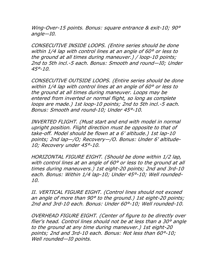Wing-Over-15 points. Bonus: square entrance & exit-10; 90° angle—I0.

CONSECUTIVE INSIDE LOOPS. (Entire series should be done within 1/4 lap with control lines at an angle of 60° or less to the ground at all times during maneuver.) / loop-10 points; 2nd to 5th incl.-5 each. Bonus: Smooth and round—I0; Under  $45° - 10$ .

CONSECUTIVE OUTSIDE LOOPS. (Entire series should be done within 1/4 lap with control lines at an angle of 60° or less to the ground at all times during maneuver. Loops may be entered from inverted or normal flight, so long as complete loops are made.) 1st loop-10 points; 2nd to 5th incl.-5 each. Bonus: Smooth and round-10; Under 45°-10.

INVERTED FLIGHT. (Must start and end with model in normal upright position. Flight direction must be opposite to that of take-off. Model should be flown at a 6' altitude.) 1st lap-10 points; 2nd lap—/O; Recovery—/O. Bonus: Under 6' altitude-10; Recovery under 45°-10.

HORIZONTAL FIGURE EIGHT. (Should be done within 1/2 lap, with control lines at an angle of 60° or less to the ground at all times during maneuvers.) 1st eight-20 points; 2nd and 3rd-10 each. Bonus: Within 1/4 lap-10; Under 45°-10; Well rounded-10.

II. VERTICAL FIGURE EIGHT. (Control lines should not exceed an angle of more than 90° to the ground.) 1st eight-20 points; 2nd and 3rd-10 each. Bonus: Under 60°-10; Well rounded-10.

OVERHEAD FIGURE EIGHT. (Center of figure to be directly over flier's head. Control lines should not be at less than a 30° angle to the ground at any time during maneuver.) 1st eight-20 points; 2nd and 3rd-10 each. Bonus: Not less than 60°-10; Well rounded—I0 points.